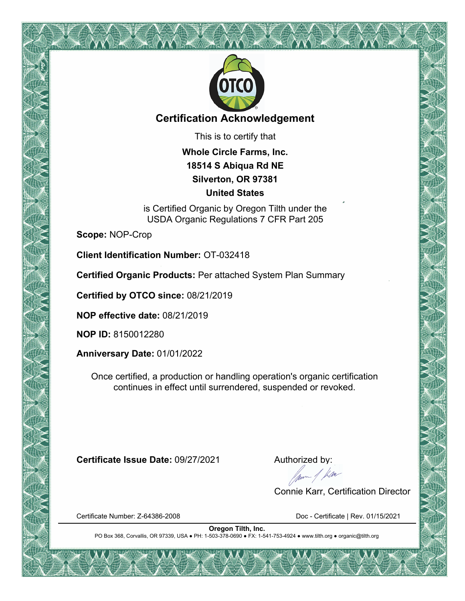

### **Certification Acknowledgement**

This is to certify that

**Whole Circle Farms, Inc. 18514 S Abiqua Rd NE Silverton, OR 97381 United States**

is Certified Organic by Oregon Tilth under the USDA Organic Regulations 7 CFR Part 205

**Scope:** NOP-Crop

**Client Identification Number:** OT-032418

**Certified Organic Products:** Per attached System Plan Summary

**Certified by OTCO since:** 08/21/2019

**NOP effective date:** 08/21/2019

**NOP ID:** 8150012280

**Anniversary Date:** 01/01/2022

Once certified, a production or handling operation's organic certification continues in effect until surrendered, suspended or revoked.

**Certificate Issue Date:** 09/27/2021 Authorized by:<br>Authorized by:<br>Alternative data by:

Connie Karr, Certification Director

Certificate Number: Z-64386-2008 Doc - Certificate | Rev. 01/15/2021

**Oregon Tilth, Inc.** PO Box 368, Corvallis, OR 97339, USA ● PH: 1-503-378-0690 ● FX: 1-541-753-4924 ● www.tilth.org ● organic@tilth.org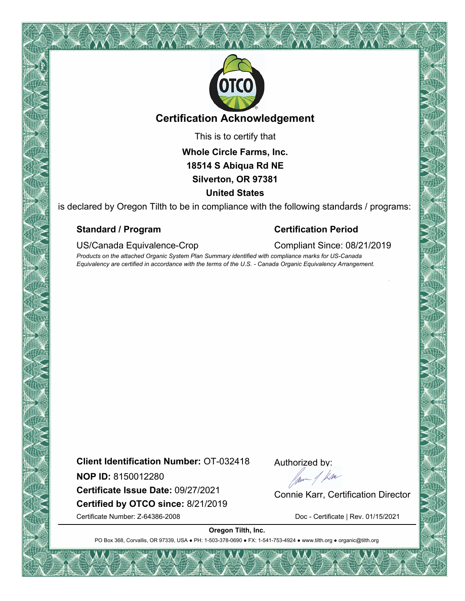

### **Certification Acknowledgement**

This is to certify that

**Whole Circle Farms, Inc. 18514 S Abiqua Rd NE Silverton, OR 97381 United States**

is declared by Oregon Tilth to be in compliance with the following standards / programs:

#### **Standard / Program Certification Period**

US/Canada Equivalence-Crop Compliant Since: 08/21/2019

*Products on the attached Organic System Plan Summary identified with compliance marks for US-Canada Equivalency are certified in accordance with the terms of the U.S. - Canada Organic Equivalency Arrangement.*

**Client Identification Number:** OT-032418

**NOP ID:** 8150012280

**Certified by OTCO since:** 8/21/2019 **NOP ID:** 8150012280<br> **Certificate Issue Date:** 09/27/2021 Connie Karr, Certification Director

Authorized by:

Certificate Number: Z-64386-2008 Doc - Certificate | Rev. 01/15/2021

**Oregon Tilth, Inc.**

PO Box 368, Corvallis, OR 97339, USA . PH: 1-503-378-0690 · FX: 1-541-753-4924 · www.tilth.org · organic@tilth.org